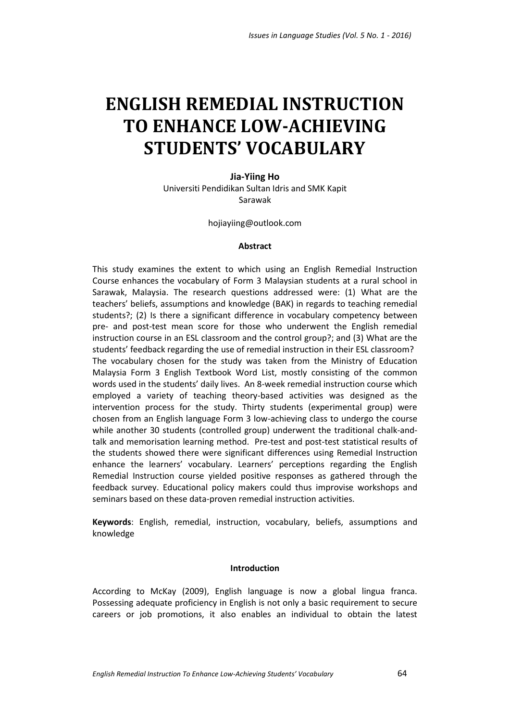# **ENGLISH REMEDIAL INSTRUCTION TO ENHANCE LOW-ACHIEVING STUDENTS' VOCABULARY**

#### **Jia-Yiing Ho**

Universiti Pendidikan Sultan Idris and SMK Kapit Sarawak

hojiayiing@outlook.com

#### **Abstract**

This study examines the extent to which using an English Remedial Instruction Course enhances the vocabulary of Form 3 Malaysian students at a rural school in Sarawak, Malaysia. The research questions addressed were: (1) What are the teachers' beliefs, assumptions and knowledge (BAK) in regards to teaching remedial students?; (2) Is there a significant difference in vocabulary competency between pre- and post-test mean score for those who underwent the English remedial instruction course in an ESL classroom and the control group?; and (3) What are the students' feedback regarding the use of remedial instruction in their ESL classroom? The vocabulary chosen for the study was taken from the Ministry of Education Malaysia Form 3 English Textbook Word List, mostly consisting of the common words used in the students' daily lives. An 8-week remedial instruction course which employed a variety of teaching theory-based activities was designed as the intervention process for the study. Thirty students (experimental group) were chosen from an English language Form 3 low-achieving class to undergo the course while another 30 students (controlled group) underwent the traditional chalk-andtalk and memorisation learning method. Pre-test and post-test statistical results of the students showed there were significant differences using Remedial Instruction enhance the learners' vocabulary. Learners' perceptions regarding the English Remedial Instruction course yielded positive responses as gathered through the feedback survey. Educational policy makers could thus improvise workshops and seminars based on these data-proven remedial instruction activities.

**Keywords**: English, remedial, instruction, vocabulary, beliefs, assumptions and knowledge

# **Introduction**

According to McKay (2009), English language is now a global lingua franca. Possessing adequate proficiency in English is not only a basic requirement to secure careers or job promotions, it also enables an individual to obtain the latest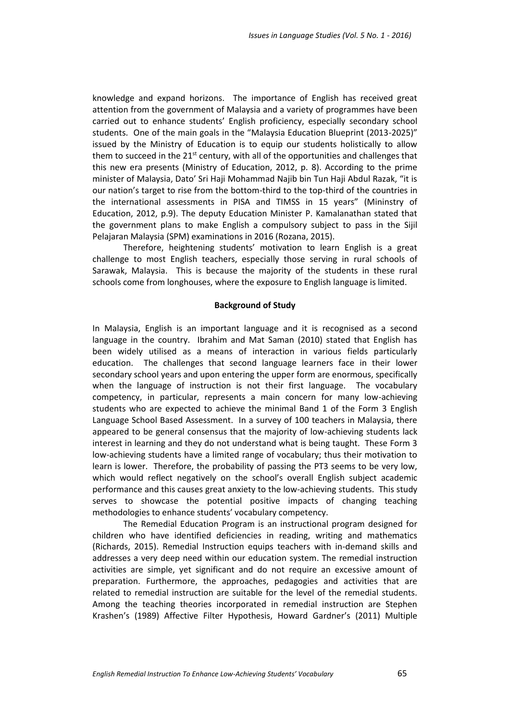knowledge and expand horizons. The importance of English has received great attention from the government of Malaysia and a variety of programmes have been carried out to enhance students' English proficiency, especially secondary school students. One of the main goals in the "Malaysia Education Blueprint (2013-2025)" issued by the Ministry of Education is to equip our students holistically to allow them to succeed in the  $21<sup>st</sup>$  century, with all of the opportunities and challenges that this new era presents (Ministry of Education, 2012, p. 8). According to the prime minister of Malaysia, Dato' Sri Haji Mohammad Najib bin Tun Haji Abdul Razak, "it is our nation's target to rise from the bottom-third to the top-third of the countries in the international assessments in PISA and TIMSS in 15 years" (Mininstry of Education, 2012, p.9). The deputy Education Minister P. Kamalanathan stated that the government plans to make English a compulsory subject to pass in the Sijil Pelajaran Malaysia (SPM) examinations in 2016 (Rozana, 2015).

Therefore, heightening students' motivation to learn English is a great challenge to most English teachers, especially those serving in rural schools of Sarawak, Malaysia. This is because the majority of the students in these rural schools come from longhouses, where the exposure to English language is limited.

#### **Background of Study**

In Malaysia, English is an important language and it is recognised as a second language in the country. Ibrahim and Mat Saman (2010) stated that English has been widely utilised as a means of interaction in various fields particularly education. The challenges that second language learners face in their lower secondary school years and upon entering the upper form are enormous, specifically when the language of instruction is not their first language. The vocabulary competency, in particular, represents a main concern for many low-achieving students who are expected to achieve the minimal Band 1 of the Form 3 English Language School Based Assessment. In a survey of 100 teachers in Malaysia, there appeared to be general consensus that the majority of low-achieving students lack interest in learning and they do not understand what is being taught. These Form 3 low-achieving students have a limited range of vocabulary; thus their motivation to learn is lower. Therefore, the probability of passing the PT3 seems to be very low, which would reflect negatively on the school's overall English subject academic performance and this causes great anxiety to the low-achieving students. This study serves to showcase the potential positive impacts of changing teaching methodologies to enhance students' vocabulary competency.

The Remedial Education Program is an instructional program designed for children who have identified deficiencies in reading, writing and mathematics (Richards, 2015). Remedial Instruction equips teachers with in-demand skills and addresses a very deep need within our education system. The remedial instruction activities are simple, yet significant and do not require an excessive amount of preparation. Furthermore, the approaches, pedagogies and activities that are related to remedial instruction are suitable for the level of the remedial students. Among the teaching theories incorporated in remedial instruction are Stephen Krashen's (1989) Affective Filter Hypothesis, Howard Gardner's (2011) Multiple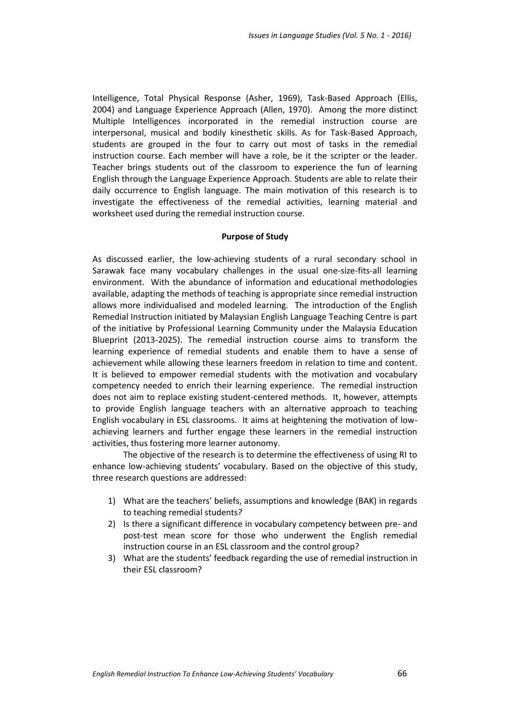Intelligence, Total Physical Response (Asher, 1969), Task-Based Approach (Ellis, 2004) and Language Experience Approach (Allen, 1970). Among the more distinct Multiple Intelligences incorporated in the remedial instruction course are interpersonal, musical and bodily kinesthetic skills. As for Task-Based Approach, students are grouped in the four to carry out most of tasks in the remedial instruction course. Each member will have a role, be it the scripter or the leader. Teacher brings students out of the classroom to experience the fun of learning English through the Language Experience Approach. Students are able to relate their daily occurrence to English language. The main motivation of this research is to investigate the effectiveness of the remedial activities, learning material and worksheet used during the remedial instruction course.

#### **Purpose of Study**

As discussed earlier, the low-achieving students of a rural secondary school in Sarawak face many vocabulary challenges in the usual one-size-fits-all learning environment. With the abundance of information and educational methodologies available, adapting the methods of teaching is appropriate since remedial instruction allows more individualised and modeled learning. The introduction of the English Remedial Instruction initiated by Malaysian English Language Teaching Centre is part of the initiative by Professional Learning Community under the Malaysia Education Blueprint (2013-2025). The remedial instruction course aims to transform the learning experience of remedial students and enable them to have a sense of achievement while allowing these learners freedom in relation to time and content. It is believed to empower remedial students with the motivation and vocabulary competency needed to enrich their learning experience. The remedial instruction does not aim to replace existing student-centered methods. It, however, attempts to provide English language teachers with an alternative approach to teaching English vocabulary in ESL classrooms. It aims at heightening the motivation of lowachieving learners and further engage these learners in the remedial instruction activities, thus fostering more learner autonomy.

The objective of the research is to determine the effectiveness of using RI to enhance low-achieving students' vocabulary. Based on the objective of this study, three research questions are addressed:

- 1) What are the teachers' beliefs, assumptions and knowledge (BAK) in regards to teaching remedial students?
- 2) Is there a significant difference in vocabulary competency between pre- and post-test mean score for those who underwent the English remedial instruction course in an ESL classroom and the control group?
- 3) What are the students' feedback regarding the use of remedial instruction in their ESL classroom?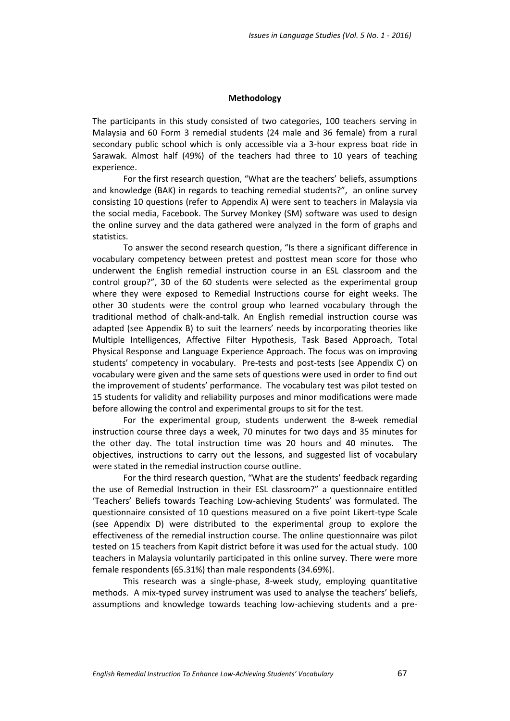#### **Methodology**

The participants in this study consisted of two categories, 100 teachers serving in Malaysia and 60 Form 3 remedial students (24 male and 36 female) from a rural secondary public school which is only accessible via a 3-hour express boat ride in Sarawak. Almost half (49%) of the teachers had three to 10 years of teaching experience.

For the first research question, "What are the teachers' beliefs, assumptions and knowledge (BAK) in regards to teaching remedial students?", an online survey consisting 10 questions (refer to Appendix A) were sent to teachers in Malaysia via the social media, Facebook. The Survey Monkey (SM) software was used to design the online survey and the data gathered were analyzed in the form of graphs and statistics.

To answer the second research question, "Is there a significant difference in vocabulary competency between pretest and posttest mean score for those who underwent the English remedial instruction course in an ESL classroom and the control group?", 30 of the 60 students were selected as the experimental group where they were exposed to Remedial Instructions course for eight weeks. The other 30 students were the control group who learned vocabulary through the traditional method of chalk-and-talk. An English remedial instruction course was adapted (see Appendix B) to suit the learners' needs by incorporating theories like Multiple Intelligences, Affective Filter Hypothesis, Task Based Approach, Total Physical Response and Language Experience Approach. The focus was on improving students' competency in vocabulary. Pre-tests and post-tests (see Appendix C) on vocabulary were given and the same sets of questions were used in order to find out the improvement of students' performance. The vocabulary test was pilot tested on 15 students for validity and reliability purposes and minor modifications were made before allowing the control and experimental groups to sit for the test.

For the experimental group, students underwent the 8-week remedial instruction course three days a week, 70 minutes for two days and 35 minutes for the other day. The total instruction time was 20 hours and 40 minutes. The objectives, instructions to carry out the lessons, and suggested list of vocabulary were stated in the remedial instruction course outline.

For the third research question, "What are the students' feedback regarding the use of Remedial Instruction in their ESL classroom?" a questionnaire entitled 'Teachers' Beliefs towards Teaching Low-achieving Students' was formulated. The questionnaire consisted of 10 questions measured on a five point Likert-type Scale (see Appendix D) were distributed to the experimental group to explore the effectiveness of the remedial instruction course. The online questionnaire was pilot tested on 15 teachers from Kapit district before it was used for the actual study. 100 teachers in Malaysia voluntarily participated in this online survey. There were more female respondents (65.31%) than male respondents (34.69%).

This research was a single-phase, 8-week study, employing quantitative methods. A mix-typed survey instrument was used to analyse the teachers' beliefs, assumptions and knowledge towards teaching low-achieving students and a pre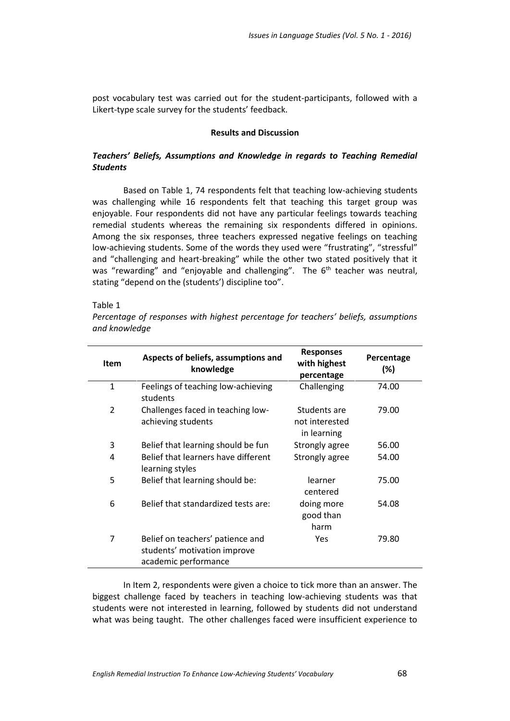post vocabulary test was carried out for the student-participants, followed with a Likert-type scale survey for the students' feedback.

#### **Results and Discussion**

## *Teachers' Beliefs, Assumptions and Knowledge in regards to Teaching Remedial Students*

Based on Table 1, 74 respondents felt that teaching low-achieving students was challenging while 16 respondents felt that teaching this target group was enjoyable. Four respondents did not have any particular feelings towards teaching remedial students whereas the remaining six respondents differed in opinions. Among the six responses, three teachers expressed negative feelings on teaching low-achieving students. Some of the words they used were "frustrating", "stressful" and "challenging and heart-breaking" while the other two stated positively that it was "rewarding" and "enjoyable and challenging". The  $6<sup>th</sup>$  teacher was neutral, stating "depend on the (students') discipline too".

#### Table 1

*Percentage of responses with highest percentage for teachers' beliefs, assumptions and knowledge*

| Item         | Aspects of beliefs, assumptions and<br>knowledge                                         | <b>Responses</b><br>with highest<br>percentage | Percentage<br>$(\%)$ |
|--------------|------------------------------------------------------------------------------------------|------------------------------------------------|----------------------|
| $\mathbf{1}$ | Feelings of teaching low-achieving<br>students                                           | Challenging                                    | 74.00                |
| 2            | Challenges faced in teaching low-<br>achieving students                                  | Students are<br>not interested<br>in learning  | 79.00                |
| 3            | Belief that learning should be fun                                                       | Strongly agree                                 | 56.00                |
| 4            | Belief that learners have different<br>learning styles                                   | Strongly agree                                 | 54.00                |
| 5            | Belief that learning should be:                                                          | learner<br>centered                            | 75.00                |
| 6            | Belief that standardized tests are:                                                      | doing more<br>good than<br>harm                | 54.08                |
| 7            | Belief on teachers' patience and<br>students' motivation improve<br>academic performance | <b>Yes</b>                                     | 79.80                |

In Item 2, respondents were given a choice to tick more than an answer. The biggest challenge faced by teachers in teaching low-achieving students was that students were not interested in learning, followed by students did not understand what was being taught. The other challenges faced were insufficient experience to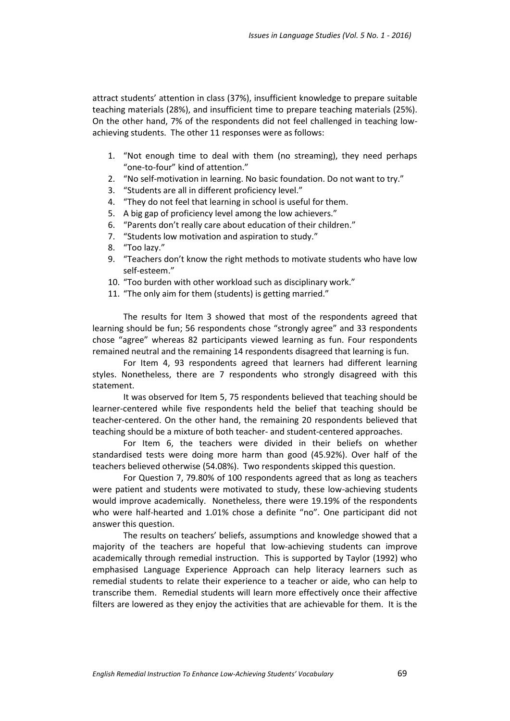attract students' attention in class (37%), insufficient knowledge to prepare suitable teaching materials (28%), and insufficient time to prepare teaching materials (25%). On the other hand, 7% of the respondents did not feel challenged in teaching lowachieving students. The other 11 responses were as follows:

- 1. "Not enough time to deal with them (no streaming), they need perhaps "one-to-four" kind of attention."
- 2. "No self-motivation in learning. No basic foundation. Do not want to try."
- 3. "Students are all in different proficiency level."
- 4. "They do not feel that learning in school is useful for them.
- 5. A big gap of proficiency level among the low achievers."
- 6. "Parents don't really care about education of their children."
- 7. "Students low motivation and aspiration to study."
- 8. "Too lazy."
- 9. "Teachers don't know the right methods to motivate students who have low self-esteem."
- 10. "Too burden with other workload such as disciplinary work."
- 11. "The only aim for them (students) is getting married."

The results for Item 3 showed that most of the respondents agreed that learning should be fun; 56 respondents chose "strongly agree" and 33 respondents chose "agree" whereas 82 participants viewed learning as fun. Four respondents remained neutral and the remaining 14 respondents disagreed that learning is fun.

For Item 4, 93 respondents agreed that learners had different learning styles. Nonetheless, there are 7 respondents who strongly disagreed with this statement.

It was observed for Item 5, 75 respondents believed that teaching should be learner-centered while five respondents held the belief that teaching should be teacher-centered. On the other hand, the remaining 20 respondents believed that teaching should be a mixture of both teacher- and student-centered approaches.

For Item 6, the teachers were divided in their beliefs on whether standardised tests were doing more harm than good (45.92%). Over half of the teachers believed otherwise (54.08%). Two respondents skipped this question.

For Question 7, 79.80% of 100 respondents agreed that as long as teachers were patient and students were motivated to study, these low-achieving students would improve academically. Nonetheless, there were 19.19% of the respondents who were half-hearted and 1.01% chose a definite "no". One participant did not answer this question.

The results on teachers' beliefs, assumptions and knowledge showed that a majority of the teachers are hopeful that low-achieving students can improve academically through remedial instruction. This is supported by Taylor (1992) who emphasised Language Experience Approach can help literacy learners such as remedial students to relate their experience to a teacher or aide, who can help to transcribe them. Remedial students will learn more effectively once their affective filters are lowered as they enjoy the activities that are achievable for them. It is the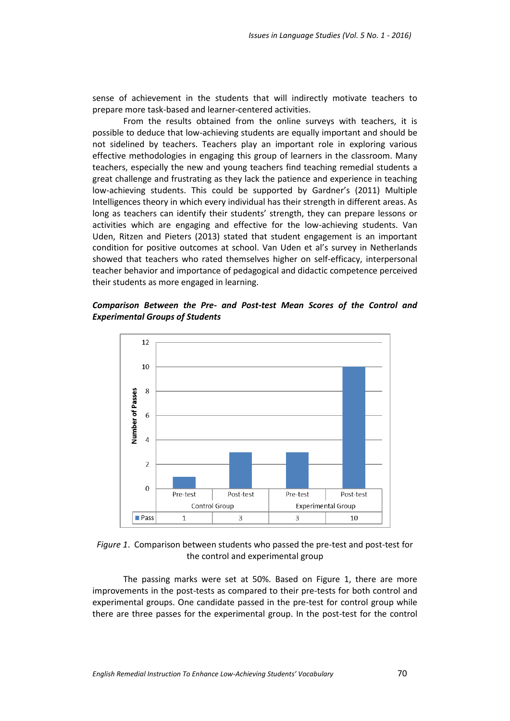sense of achievement in the students that will indirectly motivate teachers to prepare more task-based and learner-centered activities.

From the results obtained from the online surveys with teachers, it is possible to deduce that low-achieving students are equally important and should be not sidelined by teachers. Teachers play an important role in exploring various effective methodologies in engaging this group of learners in the classroom. Many teachers, especially the new and young teachers find teaching remedial students a great challenge and frustrating as they lack the patience and experience in teaching low-achieving students. This could be supported by Gardner's (2011) Multiple Intelligences theory in which every individual has their strength in different areas. As long as teachers can identify their students' strength, they can prepare lessons or activities which are engaging and effective for the low-achieving students. Van Uden, Ritzen and Pieters (2013) stated that student engagement is an important condition for positive outcomes at school. Van Uden et al's survey in Netherlands showed that teachers who rated themselves higher on self-efficacy, interpersonal teacher behavior and importance of pedagogical and didactic competence perceived their students as more engaged in learning.





*Figure 1*. Comparison between students who passed the pre-test and post-test for the control and experimental group

The passing marks were set at 50%. Based on Figure 1, there are more improvements in the post-tests as compared to their pre-tests for both control and experimental groups. One candidate passed in the pre-test for control group while there are three passes for the experimental group. In the post-test for the control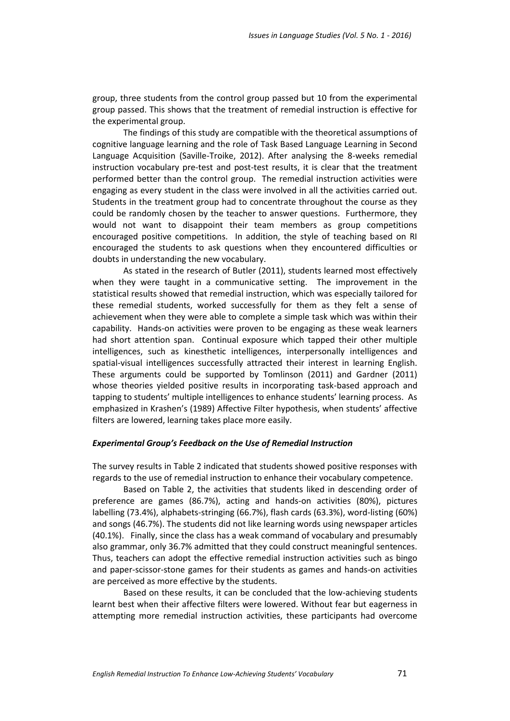group, three students from the control group passed but 10 from the experimental group passed. This shows that the treatment of remedial instruction is effective for the experimental group.

The findings of this study are compatible with the theoretical assumptions of cognitive language learning and the role of Task Based Language Learning in Second Language Acquisition (Saville-Troike, 2012). After analysing the 8-weeks remedial instruction vocabulary pre-test and post-test results, it is clear that the treatment performed better than the control group. The remedial instruction activities were engaging as every student in the class were involved in all the activities carried out. Students in the treatment group had to concentrate throughout the course as they could be randomly chosen by the teacher to answer questions. Furthermore, they would not want to disappoint their team members as group competitions encouraged positive competitions. In addition, the style of teaching based on RI encouraged the students to ask questions when they encountered difficulties or doubts in understanding the new vocabulary.

As stated in the research of Butler (2011), students learned most effectively when they were taught in a communicative setting. The improvement in the statistical results showed that remedial instruction, which was especially tailored for these remedial students, worked successfully for them as they felt a sense of achievement when they were able to complete a simple task which was within their capability. Hands-on activities were proven to be engaging as these weak learners had short attention span. Continual exposure which tapped their other multiple intelligences, such as kinesthetic intelligences, interpersonally intelligences and spatial-visual intelligences successfully attracted their interest in learning English. These arguments could be supported by Tomlinson (2011) and Gardner (2011) whose theories yielded positive results in incorporating task-based approach and tapping to students' multiple intelligences to enhance students' learning process. As emphasized in Krashen's (1989) Affective Filter hypothesis, when students' affective filters are lowered, learning takes place more easily.

#### *Experimental Group's Feedback on the Use of Remedial Instruction*

The survey results in Table 2 indicated that students showed positive responses with regards to the use of remedial instruction to enhance their vocabulary competence.

Based on Table 2, the activities that students liked in descending order of preference are games (86.7%), acting and hands-on activities (80%), pictures labelling (73.4%), alphabets-stringing (66.7%), flash cards (63.3%), word-listing (60%) and songs (46.7%). The students did not like learning words using newspaper articles (40.1%). Finally, since the class has a weak command of vocabulary and presumably also grammar, only 36.7% admitted that they could construct meaningful sentences. Thus, teachers can adopt the effective remedial instruction activities such as bingo and paper-scissor-stone games for their students as games and hands-on activities are perceived as more effective by the students.

Based on these results, it can be concluded that the low-achieving students learnt best when their affective filters were lowered. Without fear but eagerness in attempting more remedial instruction activities, these participants had overcome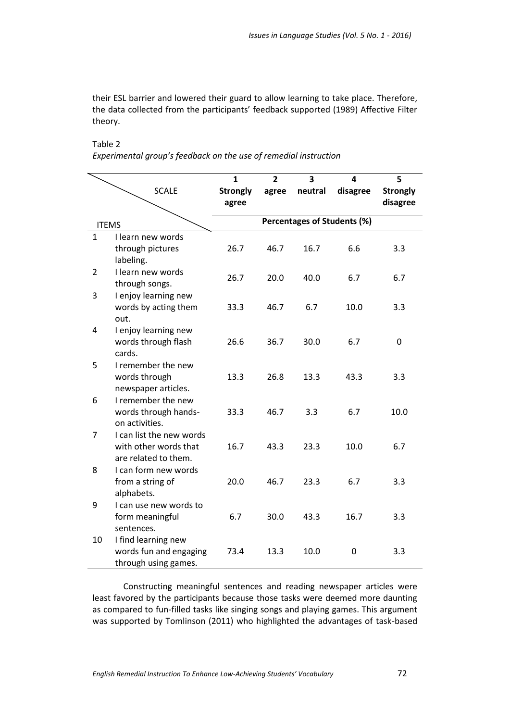their ESL barrier and lowered their guard to allow learning to take place. Therefore, the data collected from the participants' feedback supported (1989) Affective Filter theory.

#### Table 2

*Experimental group's feedback on the use of remedial instruction*

|                |                                             | $\mathbf{1}$             | $\overline{2}$ | 3       | 4                                  | 5                           |
|----------------|---------------------------------------------|--------------------------|----------------|---------|------------------------------------|-----------------------------|
|                | <b>SCALE</b>                                | <b>Strongly</b><br>agree | agree          | neutral | disagree                           | <b>Strongly</b><br>disagree |
|                |                                             |                          |                |         |                                    |                             |
|                | <b>ITEMS</b>                                |                          |                |         | <b>Percentages of Students (%)</b> |                             |
| $\mathbf{1}$   | I learn new words                           |                          |                |         |                                    |                             |
|                | through pictures<br>labeling.               | 26.7                     | 46.7           | 16.7    | 6.6                                | 3.3                         |
| $\overline{2}$ | I learn new words<br>through songs.         | 26.7                     | 20.0           | 40.0    | 6.7                                | 6.7                         |
| 3              | I enjoy learning new                        |                          |                |         |                                    |                             |
|                | words by acting them<br>out.                | 33.3                     | 46.7           | 6.7     | 10.0                               | 3.3                         |
| 4              | I enjoy learning new<br>words through flash | 26.6                     | 36.7           | 30.0    | 6.7                                | 0                           |
|                | cards.                                      |                          |                |         |                                    |                             |
| 5              | I remember the new                          |                          |                |         |                                    |                             |
|                | words through                               | 13.3                     | 26.8           | 13.3    | 43.3                               | 3.3                         |
|                | newspaper articles.                         |                          |                |         |                                    |                             |
| 6              | I remember the new<br>words through hands-  | 33.3                     | 46.7           | 3.3     | 6.7                                | 10.0                        |
|                | on activities.                              |                          |                |         |                                    |                             |
| 7              | I can list the new words                    |                          |                |         |                                    |                             |
|                | with other words that                       | 16.7                     | 43.3           | 23.3    | 10.0                               | 6.7                         |
|                | are related to them.                        |                          |                |         |                                    |                             |
| 8              | I can form new words                        |                          |                |         |                                    |                             |
|                | from a string of<br>alphabets.              | 20.0                     | 46.7           | 23.3    | 6.7                                | 3.3                         |
| 9              | I can use new words to                      |                          |                |         |                                    |                             |
|                | form meaningful                             | 6.7                      | 30.0           | 43.3    | 16.7                               | 3.3                         |
|                | sentences.                                  |                          |                |         |                                    |                             |
| 10             | I find learning new                         |                          |                |         |                                    |                             |
|                | words fun and engaging                      | 73.4                     | 13.3           | 10.0    | 0                                  | 3.3                         |
|                | through using games.                        |                          |                |         |                                    |                             |

Constructing meaningful sentences and reading newspaper articles were least favored by the participants because those tasks were deemed more daunting as compared to fun-filled tasks like singing songs and playing games. This argument was supported by Tomlinson (2011) who highlighted the advantages of task-based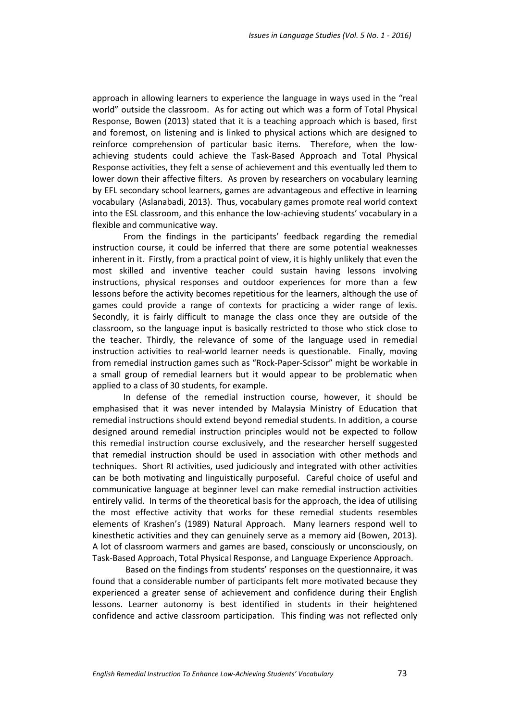approach in allowing learners to experience the language in ways used in the "real world" outside the classroom. As for acting out which was a form of Total Physical Response, Bowen (2013) stated that it is a teaching approach which is based, first and foremost, on listening and is linked to physical actions which are designed to reinforce comprehension of particular basic items. Therefore, when the lowachieving students could achieve the Task-Based Approach and Total Physical Response activities, they felt a sense of achievement and this eventually led them to lower down their affective filters. As proven by researchers on vocabulary learning by EFL secondary school learners, games are advantageous and effective in learning vocabulary (Aslanabadi, 2013). Thus, vocabulary games promote real world context into the ESL classroom, and this enhance the low-achieving students' vocabulary in a flexible and communicative way.

From the findings in the participants' feedback regarding the remedial instruction course, it could be inferred that there are some potential weaknesses inherent in it. Firstly, from a practical point of view, it is highly unlikely that even the most skilled and inventive teacher could sustain having lessons involving instructions, physical responses and outdoor experiences for more than a few lessons before the activity becomes repetitious for the learners, although the use of games could provide a range of contexts for practicing a wider range of lexis. Secondly, it is fairly difficult to manage the class once they are outside of the classroom, so the language input is basically restricted to those who stick close to the teacher. Thirdly, the relevance of some of the language used in remedial instruction activities to real-world learner needs is questionable. Finally, moving from remedial instruction games such as "Rock-Paper-Scissor" might be workable in a small group of remedial learners but it would appear to be problematic when applied to a class of 30 students, for example.

In defense of the remedial instruction course, however, it should be emphasised that it was never intended by Malaysia Ministry of Education that remedial instructions should extend beyond remedial students. In addition, a course designed around remedial instruction principles would not be expected to follow this remedial instruction course exclusively, and the researcher herself suggested that remedial instruction should be used in association with other methods and techniques. Short RI activities, used judiciously and integrated with other activities can be both motivating and linguistically purposeful. Careful choice of useful and communicative language at beginner level can make remedial instruction activities entirely valid. In terms of the theoretical basis for the approach, the idea of utilising the most effective activity that works for these remedial students resembles elements of Krashen's (1989) Natural Approach. Many learners respond well to kinesthetic activities and they can genuinely serve as a memory aid (Bowen, 2013). A lot of classroom warmers and games are based, consciously or unconsciously, on Task-Based Approach, Total Physical Response, and Language Experience Approach.

Based on the findings from students' responses on the questionnaire, it was found that a considerable number of participants felt more motivated because they experienced a greater sense of achievement and confidence during their English lessons. Learner autonomy is best identified in students in their heightened confidence and active classroom participation. This finding was not reflected only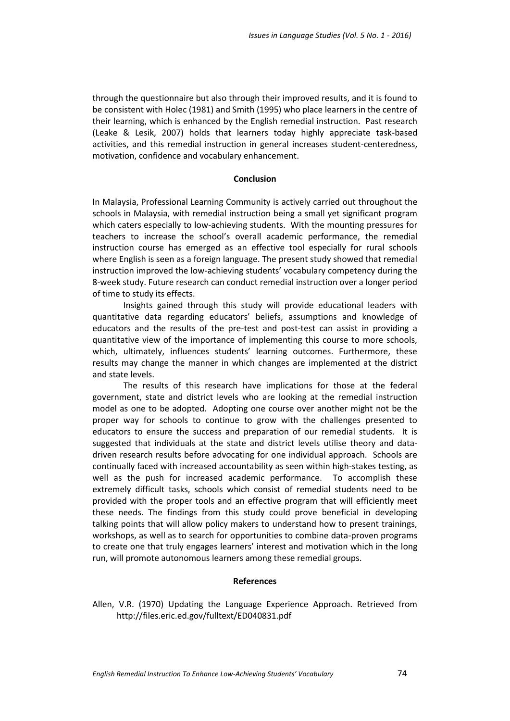through the questionnaire but also through their improved results, and it is found to be consistent with Holec (1981) and Smith (1995) who place learners in the centre of their learning, which is enhanced by the English remedial instruction. Past research (Leake & Lesik, 2007) holds that learners today highly appreciate task-based activities, and this remedial instruction in general increases student-centeredness, motivation, confidence and vocabulary enhancement.

#### **Conclusion**

In Malaysia, Professional Learning Community is actively carried out throughout the schools in Malaysia, with remedial instruction being a small yet significant program which caters especially to low-achieving students. With the mounting pressures for teachers to increase the school's overall academic performance, the remedial instruction course has emerged as an effective tool especially for rural schools where English is seen as a foreign language. The present study showed that remedial instruction improved the low-achieving students' vocabulary competency during the 8-week study. Future research can conduct remedial instruction over a longer period of time to study its effects.

Insights gained through this study will provide educational leaders with quantitative data regarding educators' beliefs, assumptions and knowledge of educators and the results of the pre-test and post-test can assist in providing a quantitative view of the importance of implementing this course to more schools, which, ultimately, influences students' learning outcomes. Furthermore, these results may change the manner in which changes are implemented at the district and state levels.

The results of this research have implications for those at the federal government, state and district levels who are looking at the remedial instruction model as one to be adopted. Adopting one course over another might not be the proper way for schools to continue to grow with the challenges presented to educators to ensure the success and preparation of our remedial students. It is suggested that individuals at the state and district levels utilise theory and datadriven research results before advocating for one individual approach. Schools are continually faced with increased accountability as seen within high-stakes testing, as well as the push for increased academic performance. To accomplish these extremely difficult tasks, schools which consist of remedial students need to be provided with the proper tools and an effective program that will efficiently meet these needs. The findings from this study could prove beneficial in developing talking points that will allow policy makers to understand how to present trainings, workshops, as well as to search for opportunities to combine data-proven programs to create one that truly engages learners' interest and motivation which in the long run, will promote autonomous learners among these remedial groups.

#### **References**

Allen, V.R. (1970) Updating the Language Experience Approach. Retrieved from http://files.eric.ed.gov/fulltext/ED040831.pdf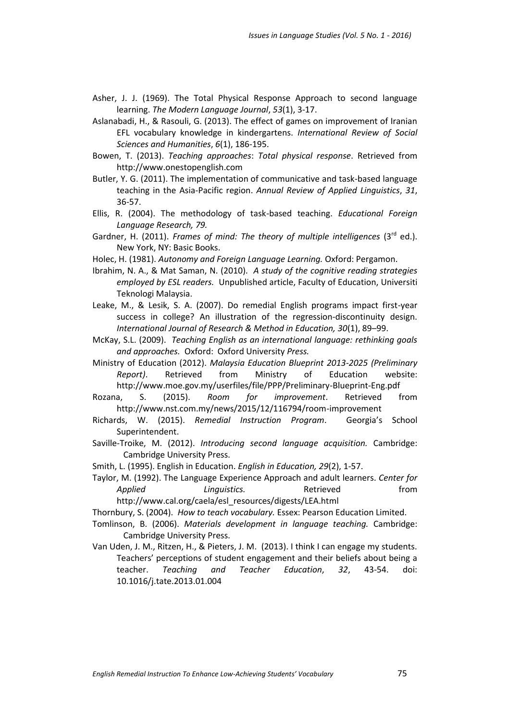- Asher, J. J. (1969). The Total Physical Response Approach to second language learning. *The Modern Language Journal*, *53*(1), 3-17.
- Aslanabadi, H., & Rasouli, G. (2013). The effect of games on improvement of Iranian EFL vocabulary knowledge in kindergartens. *International Review of Social Sciences and Humanities*, *6*(1), 186-195.
- Bowen, T. (2013). *Teaching approaches*: *Total physical response*. Retrieved from http://www.onestopenglish.com
- Butler, Y. G. (2011). The implementation of communicative and task-based language teaching in the Asia-Pacific region. *Annual Review of Applied Linguistics*, *31*, 36-57.
- Ellis, R. (2004). The methodology of task-based teaching. *Educational Foreign Language Research, 79.*
- Gardner, H. (2011). *Frames of mind: The theory of multiple intelligences* (3rd ed.). New York, NY: Basic Books.
- Holec, H. (1981). *Autonomy and Foreign Language Learning.* Oxford: Pergamon.
- Ibrahim, N. A., & Mat Saman, N. (2010). *A study of the cognitive reading strategies employed by ESL readers.* Unpublished article, Faculty of Education, Universiti Teknologi Malaysia.
- Leake, M., & Lesik, S. A. (2007). Do remedial English programs impact first-year success in college? An illustration of the regression-discontinuity design. *International Journal of Research & Method in Education, 30*(1), 89–99.
- McKay, S.L. (2009). *Teaching English as an international language: rethinking goals and approaches.* Oxford: Oxford University *Press.*
- Ministry of Education (2012). *Malaysia Education Blueprint 2013-2025 (Preliminary Report)*. Retrieved from Ministry of Education website: http://www.moe.gov.my/userfiles/file/PPP/Preliminary-Blueprint-Eng.pdf
- Rozana, S. (2015). *Room for improvement*. Retrieved from http://www.nst.com.my/news/2015/12/116794/room-improvement
- Richards, W. (2015). *Remedial Instruction Program*. Georgia's School Superintendent.
- Saville-Troike, M. (2012). *Introducing second language acquisition.* Cambridge: Cambridge University Press.
- Smith, L. (1995). English in Education. *English in Education, 29*(2), 1-57.
- Taylor, M. (1992). The Language Experience Approach and adult learners. *Center for Applied Linguistics.* Retrieved from http://www.cal.org/caela/esl\_resources/digests/LEA.html
- Thornbury, S. (2004). *How to teach vocabulary.* Essex: Pearson Education Limited.
- Tomlinson, B. (2006). *Materials development in language teaching.* Cambridge: Cambridge University Press.
- Van Uden, J. M., Ritzen, H., & Pieters, J. M. (2013). I think I can engage my students. Teachers' perceptions of student engagement and their beliefs about being a teacher. *Teaching and Teacher Education*, *32*, 43-54. doi: 10.1016/j.tate.2013.01.004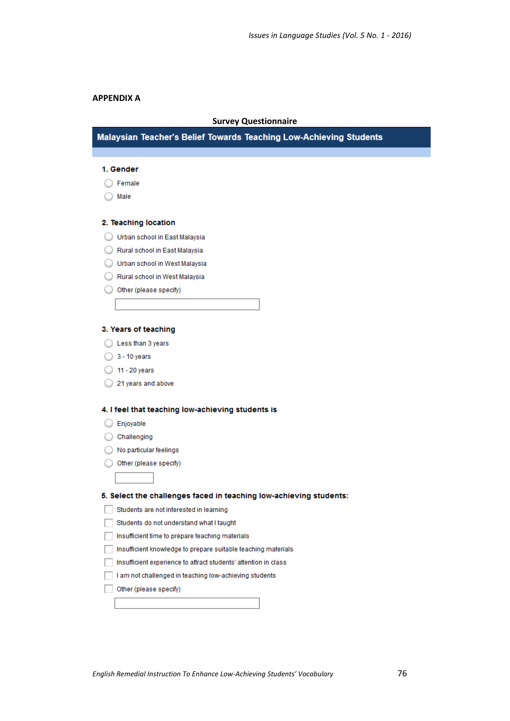#### **APPENDIX A**

#### **Survey Questionnaire**

Malaysian Teacher's Belief Towards Teaching Low-Achieving Students

#### 1. Gender

- ◯ Female
- ◯ Male

#### 2. Teaching location

- O Urban school in East Malaysia
- Rural school in East Malaysia
- O Urban school in West Malaysia
- Rural school in West Malaysia
- O Other (please specify)

#### 3. Years of teaching

- Less than 3 years
- 3 10 years
- ◯ 11 20 years
- 21 years and above

#### 4. I feel that teaching low-achieving students is

- C Enjoyable
- Challenging
- No particular feelings
- O Other (please specify)

#### 5. Select the challenges faced in teaching low-achieving students:

|  |  |  | Students are not interested in learning |  |  |
|--|--|--|-----------------------------------------|--|--|
|--|--|--|-----------------------------------------|--|--|

- Students do not understand what I taught
- Insufficient time to prepare teaching materials
- Insufficient knowledge to prepare suitable teaching materials
- Insufficient experience to attract students' attention in class
- I am not challenged in teaching low-achieving students
- Other (please specify)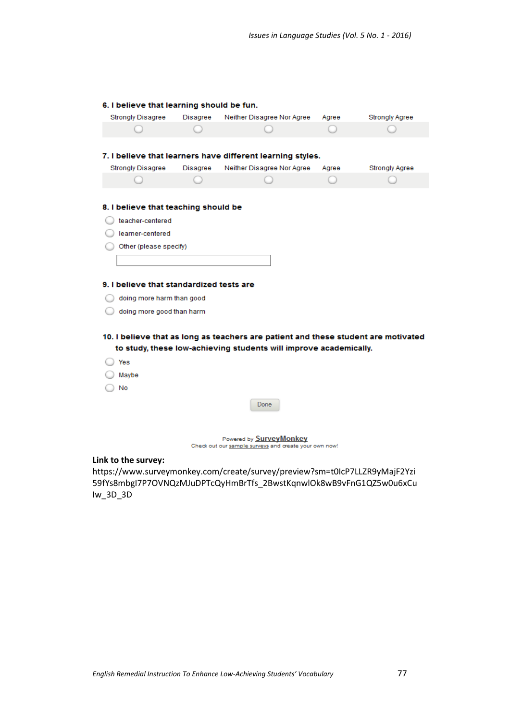| 6. I believe that learning should be fun. |          |                                                                                    |       |                       |  |  |
|-------------------------------------------|----------|------------------------------------------------------------------------------------|-------|-----------------------|--|--|
| <b>Strongly Disagree</b>                  | Disagree | Neither Disagree Nor Agree                                                         | Agree | <b>Strongly Agree</b> |  |  |
|                                           |          |                                                                                    |       |                       |  |  |
|                                           |          |                                                                                    |       |                       |  |  |
|                                           |          | 7. I believe that learners have different learning styles.                         |       |                       |  |  |
| <b>Strongly Disagree</b>                  | Disagree | Neither Disagree Nor Agree                                                         | Agree | <b>Strongly Agree</b> |  |  |
|                                           |          |                                                                                    |       |                       |  |  |
|                                           |          |                                                                                    |       |                       |  |  |
| 8. I believe that teaching should be      |          |                                                                                    |       |                       |  |  |
| teacher-centered                          |          |                                                                                    |       |                       |  |  |
| learner-centered                          |          |                                                                                    |       |                       |  |  |
| Other (please specify)                    |          |                                                                                    |       |                       |  |  |
|                                           |          |                                                                                    |       |                       |  |  |
|                                           |          |                                                                                    |       |                       |  |  |
| 9. I believe that standardized tests are  |          |                                                                                    |       |                       |  |  |
| doing more harm than good                 |          |                                                                                    |       |                       |  |  |
| doing more good than harm                 |          |                                                                                    |       |                       |  |  |
|                                           |          |                                                                                    |       |                       |  |  |
|                                           |          | 10. I believe that as long as teachers are patient and these student are motivated |       |                       |  |  |
|                                           |          | to study, these low-achieving students will improve academically.                  |       |                       |  |  |
| Yes                                       |          |                                                                                    |       |                       |  |  |
| Maybe                                     |          |                                                                                    |       |                       |  |  |
| No                                        |          |                                                                                    |       |                       |  |  |
|                                           |          | Done                                                                               |       |                       |  |  |

Powered by **SurveyMonkey** Check out our sample surveys and create your own now!

# **Link to the survey:**

https://www.surveymonkey.com/create/survey/preview?sm=t0IcP7LLZR9yMajF2Yzi 59fYs8mbgI7P7OVNQzMJuDPTcQyHmBrTfs\_2BwstKqnwlOk8wB9vFnG1QZ5w0u6xCu Iw\_3D\_3D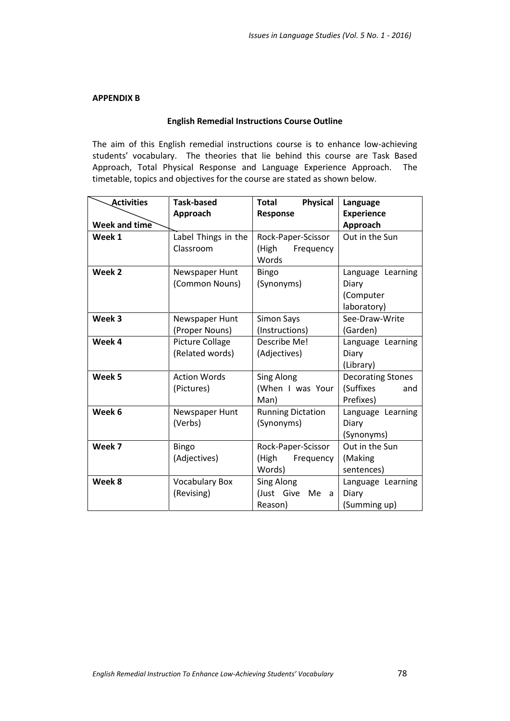#### **APPENDIX B**

# **English Remedial Instructions Course Outline**

The aim of this English remedial instructions course is to enhance low-achieving students' vocabulary. The theories that lie behind this course are Task Based Approach, Total Physical Response and Language Experience Approach. The timetable, topics and objectives for the course are stated as shown below.

| <b>Activities</b> | <b>Task-based</b>      | <b>Physical</b><br><b>Total</b> | Language                 |
|-------------------|------------------------|---------------------------------|--------------------------|
|                   | Approach               | Response                        | <b>Experience</b>        |
| Week and time     |                        |                                 | Approach                 |
| Week 1            | Label Things in the    | Rock-Paper-Scissor              | Out in the Sun           |
|                   | Classroom              | (High<br>Frequency              |                          |
|                   |                        | Words                           |                          |
| Week <sub>2</sub> | Newspaper Hunt         | <b>Bingo</b>                    | Language Learning        |
|                   | (Common Nouns)         | (Synonyms)                      | Diary                    |
|                   |                        |                                 | (Computer                |
|                   |                        |                                 | laboratory)              |
| Week 3            | Newspaper Hunt         | <b>Simon Says</b>               | See-Draw-Write           |
|                   | (Proper Nouns)         | (Instructions)                  | (Garden)                 |
| Week 4            | <b>Picture Collage</b> | Describe Me!                    | Language Learning        |
|                   | (Related words)        | (Adjectives)                    | Diary                    |
|                   |                        |                                 | (Library)                |
| Week 5            | <b>Action Words</b>    | Sing Along                      | <b>Decorating Stones</b> |
|                   | (Pictures)             | (When I was Your                | (Suffixes<br>and         |
|                   |                        | Man)                            | Prefixes)                |
| Week 6            | Newspaper Hunt         | <b>Running Dictation</b>        | Language Learning        |
|                   | (Verbs)                | (Synonyms)                      | Diary                    |
|                   |                        |                                 | (Synonyms)               |
| Week 7            | Bingo                  | Rock-Paper-Scissor              | Out in the Sun           |
|                   | (Adjectives)           | (High<br>Frequency              | (Making                  |
|                   |                        | Words)                          | sentences)               |
| Week 8            | <b>Vocabulary Box</b>  | Sing Along                      | Language Learning        |
|                   | (Revising)             | (Just Give<br>Me a              | Diary                    |
|                   |                        | Reason)                         | (Summing up)             |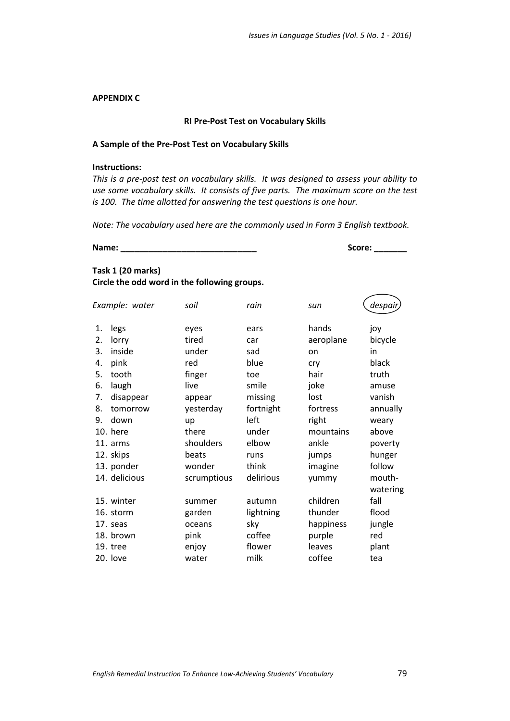#### **APPENDIX C**

#### **RI Pre-Post Test on Vocabulary Skills**

#### **A Sample of the Pre-Post Test on Vocabulary Skills**

#### **Instructions:**

*This is a pre-post test on vocabulary skills. It was designed to assess your ability to use some vocabulary skills. It consists of five parts. The maximum score on the test is 100. The time allotted for answering the test questions is one hour.*

*Note: The vocabulary used here are the commonly used in Form 3 English textbook.*

**Name: \_\_\_\_\_\_\_\_\_\_\_\_\_\_\_\_\_\_\_\_\_\_\_\_\_\_\_\_\_ Score: \_\_\_\_\_\_\_**

# **Task 1 (20 marks) Circle the odd word in the following groups.**

|    | Example: water | soil        | rain      | sun       | despair, |
|----|----------------|-------------|-----------|-----------|----------|
| 1. | legs           | eyes        | ears      | hands     | joy      |
| 2. | lorry          | tired       | car       | aeroplane | bicycle  |
| 3. | inside         | under       | sad       | on        | in       |
| 4. | pink           | red         | blue      | cry       | black    |
| 5. | tooth          | finger      | toe       | hair      | truth    |
| 6. | laugh          | live        | smile     | joke      | amuse    |
| 7. | disappear      | appear      | missing   | lost      | vanish   |
| 8. | tomorrow       | yesterday   | fortnight | fortress  | annually |
| 9. | down           | up          | left      | right     | weary    |
|    | 10. here       | there       | under     | mountains | above    |
|    | 11. arms       | shoulders   | elbow     | ankle     | poverty  |
|    | 12. skips      | beats       | runs      | jumps     | hunger   |
|    | 13. ponder     | wonder      | think     | imagine   | follow   |
|    | 14. delicious  | scrumptious | delirious | yummy     | mouth-   |
|    |                |             |           |           | watering |
|    | 15. winter     | summer      | autumn    | children  | fall     |
|    | 16. storm      | garden      | lightning | thunder   | flood    |
|    | 17. seas       | oceans      | sky       | happiness | jungle   |
|    | 18. brown      | pink        | coffee    | purple    | red      |
|    | 19. tree       | enjoy       | flower    | leaves    | plant    |
|    | 20. love       | water       | milk      | coffee    | tea      |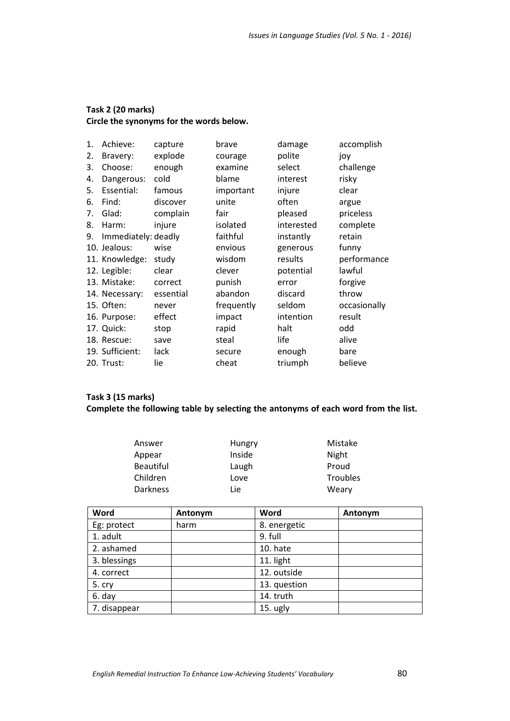# **Task 2 (20 marks) Circle the synonyms for the words below.**

| $\mathbf{1}$ . | Achieve:            | capture   | brave      | damage     | accomplish   |
|----------------|---------------------|-----------|------------|------------|--------------|
| 2.             | Bravery:            | explode   | courage    | polite     | joy          |
| 3.             | Choose:             | enough    | examine    | select     | challenge    |
| 4.             | Dangerous:          | cold      | blame      | interest   | risky        |
| 5.             | Essential:          | famous    | important  | injure     | clear        |
| 6.             | Find:               | discover  | unite      | often      | argue        |
| 7.             | Glad:               | complain  | fair       | pleased    | priceless    |
| 8.             | Harm:               | injure    | isolated   | interested | complete     |
| 9.             | Immediately: deadly |           | faithful   | instantly  | retain       |
|                | 10. Jealous:        | wise      | envious    | generous   | funny        |
|                | 11. Knowledge:      | study     | wisdom     | results    | performance  |
|                | 12. Legible:        | clear     | clever     | potential  | lawful       |
|                | 13. Mistake:        | correct   | punish     | error      | forgive      |
|                | 14. Necessary:      | essential | abandon    | discard    | throw        |
|                | 15. Often:          | never     | frequently | seldom     | occasionally |
|                | 16. Purpose:        | effect    | impact     | intention  | result       |
|                | 17. Quick:          | stop      | rapid      | halt       | odd          |
|                | 18. Rescue:         | save      | steal      | life       | alive        |
|                | 19. Sufficient:     | lack      | secure     | enough     | bare         |
|                | 20. Trust:          | lie       | cheat      | triumph    | believe      |

# **Task 3 (15 marks)**

# **Complete the following table by selecting the antonyms of each word from the list.**

| Answer           | Hungry | Mistake  |
|------------------|--------|----------|
| Appear           | Inside | Night    |
| <b>Beautiful</b> | Laugh  | Proud    |
| Children         | Love   | Troubles |
| Darkness         | Lie    | Weary    |

| Word         | Antonym | Word         | Antonym |
|--------------|---------|--------------|---------|
| Eg: protect  | harm    | 8. energetic |         |
| 1. adult     |         | 9. full      |         |
| 2. ashamed   |         | 10. hate     |         |
| 3. blessings |         | 11. light    |         |
| 4. correct   |         | 12. outside  |         |
| 5. cry       |         | 13. question |         |
| 6. day       |         | 14. truth    |         |
| 7. disappear |         | 15. ugly     |         |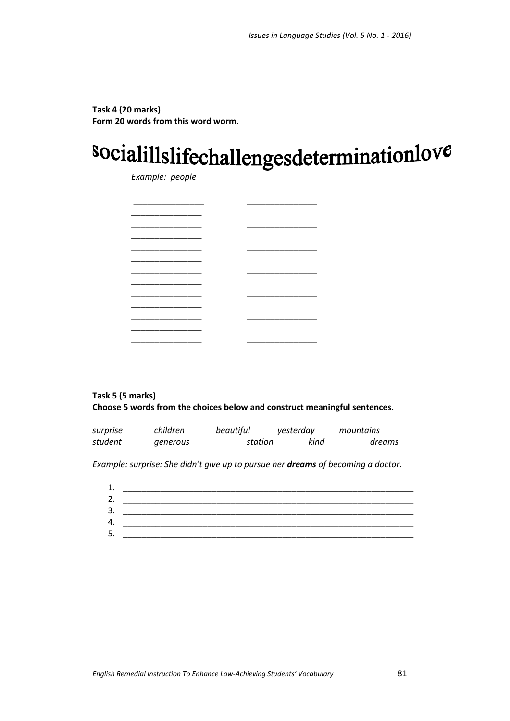**Task 4 (20 marks) Form 20 words from this word worm.**

# socialillslifechallengesdeterminationlove

*Example: people*

| ___________ |  |
|-------------|--|
| ___________ |  |
|             |  |
|             |  |
|             |  |
|             |  |

**Task 5 (5 marks) Choose 5 words from the choices below and construct meaningful sentences.**

| surprise | children | beautiful | vesterday | mountains |
|----------|----------|-----------|-----------|-----------|
| student  | generous | station   | kind      | dreams    |

*Example: surprise: She didn't give up to pursue her dreams of becoming a doctor.*

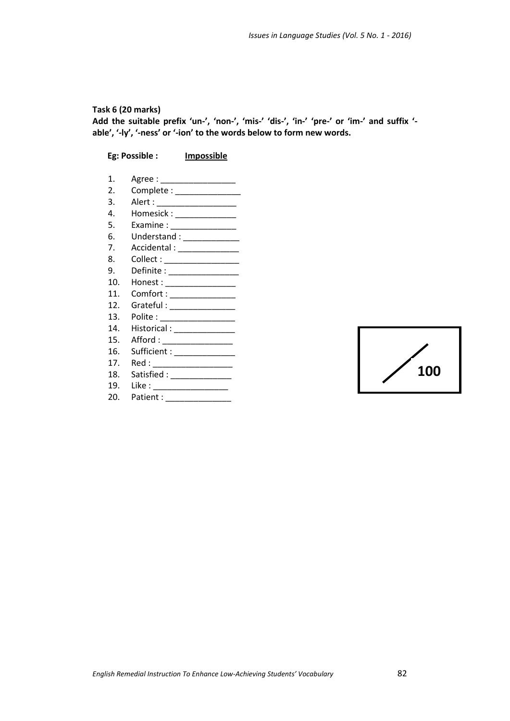## **Task 6 (20 marks)**

**Add the suitable prefix 'un-', 'non-', 'mis-' 'dis-', 'in-' 'pre-' or 'im-' and suffix ' able', '-ly', '-ness' or '-ion' to the words below to form new words.**

 **Eg: Possible : Impossible**

- 1. Agree : \_\_\_\_\_\_\_\_\_\_\_\_\_\_\_\_
- 2. Complete : \_\_\_\_\_\_\_\_\_\_\_\_\_\_
- 3. Alert : \_\_\_\_\_\_\_\_\_\_\_\_\_\_\_\_\_
- 4. Homesick : \_\_\_\_\_\_\_\_\_\_\_\_\_
- 5. Examine : \_\_\_\_\_\_\_\_\_\_\_\_\_\_
- 6. Understand : \_\_\_\_\_\_\_\_\_\_\_\_
- 7. Accidental : \_\_\_\_\_\_\_\_\_\_\_\_\_
- 8. Collect : \_\_\_\_\_\_\_\_\_\_\_\_\_\_\_\_ 9. Definite : \_\_\_\_\_\_\_\_\_\_\_\_\_\_\_
- 10. Honest : \_\_\_\_\_\_\_\_\_\_\_\_\_\_\_
- 11. Comfort : \_\_\_\_\_\_\_\_\_\_\_\_\_\_\_
- 12. Grateful : \_\_\_\_\_\_\_\_\_\_\_\_\_\_
- 13. Polite : \_\_\_\_\_\_\_\_\_\_\_\_\_\_\_\_
- 14. Historical : \_\_\_\_\_\_\_\_\_\_\_\_\_
- 15. Afford : \_\_\_\_\_\_\_\_\_\_\_\_\_\_\_\_\_
- 16. Sufficient :
- 17. Red : \_\_\_\_\_\_\_\_\_\_\_\_\_\_\_\_\_
- 18. Satisfied : \_\_\_\_\_\_\_\_\_\_\_\_\_
- 19. Like : \_\_\_\_\_\_\_\_\_\_\_\_\_\_\_\_\_\_\_
- 20. Patient : \_\_\_\_\_\_\_\_\_\_\_\_\_\_